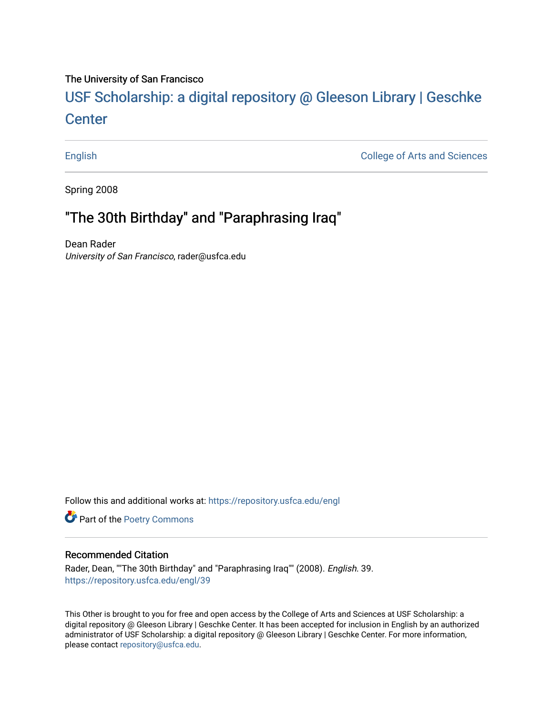### The University of San Francisco

# USF Scholarship: [a digital repository @ Gleeson Libr](https://repository.usfca.edu/)ary | Geschke **Center**

[English](https://repository.usfca.edu/engl) [College of Arts and Sciences](https://repository.usfca.edu/artsci) 

Spring 2008

## "The 30th Birthday" and "Paraphrasing Iraq"

Dean Rader University of San Francisco, rader@usfca.edu

Follow this and additional works at: [https://repository.usfca.edu/engl](https://repository.usfca.edu/engl?utm_source=repository.usfca.edu%2Fengl%2F39&utm_medium=PDF&utm_campaign=PDFCoverPages) 

**Part of the Poetry Commons** 

#### Recommended Citation

Rader, Dean, ""The 30th Birthday" and "Paraphrasing Iraq"" (2008). English. 39. [https://repository.usfca.edu/engl/39](https://repository.usfca.edu/engl/39?utm_source=repository.usfca.edu%2Fengl%2F39&utm_medium=PDF&utm_campaign=PDFCoverPages)

This Other is brought to you for free and open access by the College of Arts and Sciences at USF Scholarship: a digital repository @ Gleeson Library | Geschke Center. It has been accepted for inclusion in English by an authorized administrator of USF Scholarship: a digital repository @ Gleeson Library | Geschke Center. For more information, please contact [repository@usfca.edu.](mailto:repository@usfca.edu)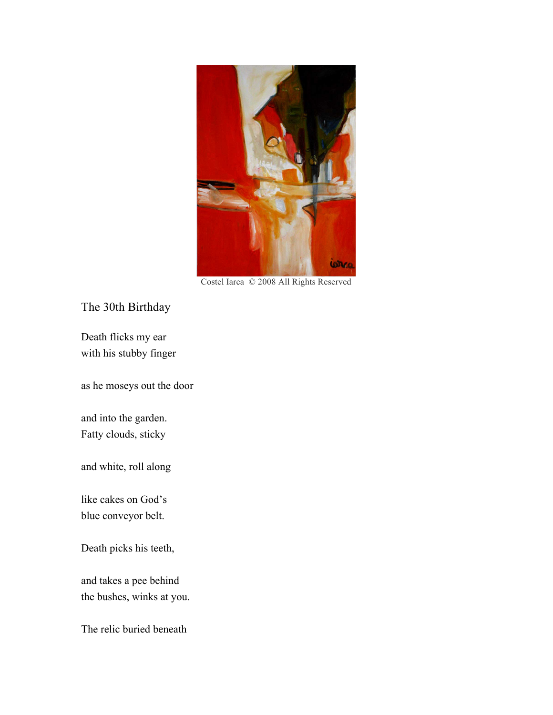

Costel Iarca © 2008 All Rights Reserved

The 30th Birthday

Death flicks my ear with his stubby finger

as he moseys out the door

and into the garden. Fatty clouds, sticky

and white, roll along

like cakes on God's blue conveyor belt.

Death picks his teeth,

and takes a pee behind the bushes, winks at you.

The relic buried beneath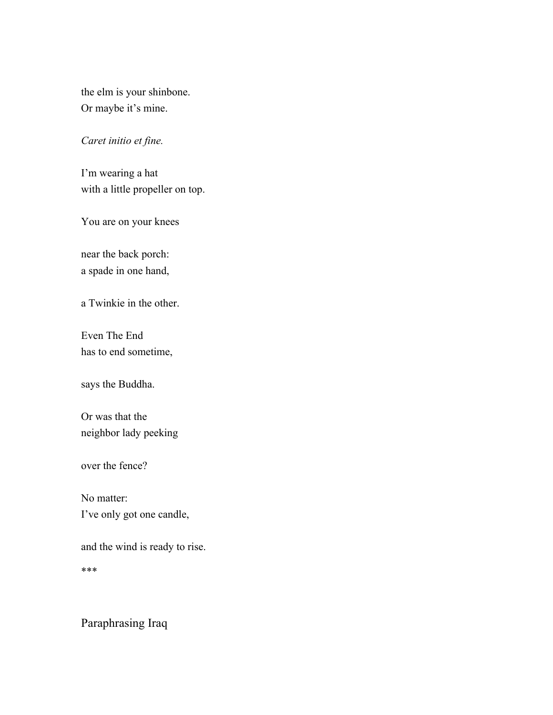the elm is your shinbone. Or maybe it's mine.

### *Caret initio et fine.*

I'm wearing a hat with a little propeller on top.

You are on your knees

near the back porch: a spade in one hand,

a Twinkie in the other.

Even The End has to end sometime,

says the Buddha.

Or was that the neighbor lady peeking

over the fence?

No matter: I've only got one candle,

and the wind is ready to rise.

\*\*\*

Paraphrasing Iraq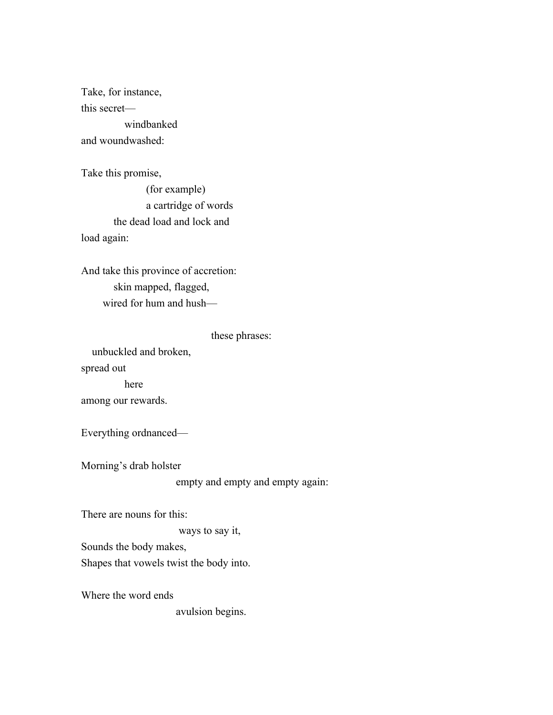Take, for instance, this secret windbanked and woundwashed:

Take this promise, (for example) a cartridge of words the dead load and lock and load again:

And take this province of accretion: skin mapped, flagged, wired for hum and hush—

these phrases:

unbuckled and broken, spread out here among our rewards.

Everything ordnanced—

Morning's drab holster

empty and empty and empty again:

There are nouns for this:

ways to say it,

Sounds the body makes,

Shapes that vowels twist the body into.

Where the word ends

avulsion begins.